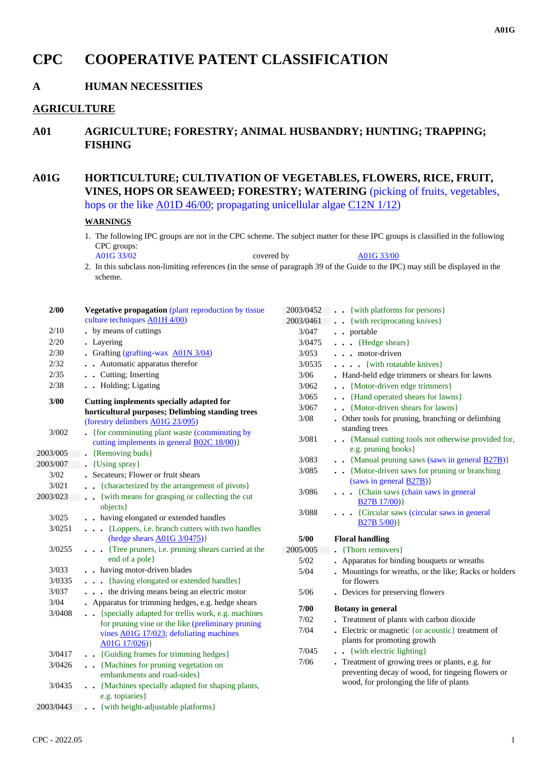# **CPC COOPERATIVE PATENT CLASSIFICATION**

# **A HUMAN NECESSITIES**

### **AGRICULTURE**

**A01 AGRICULTURE; FORESTRY; ANIMAL HUSBANDRY; HUNTING; TRAPPING; FISHING**

# **A01G HORTICULTURE; CULTIVATION OF VEGETABLES, FLOWERS, RICE, FRUIT, VINES, HOPS OR SEAWEED; FORESTRY; WATERING** (picking of fruits, vegetables, hops or the like A01D 46/00; propagating unicellular algae C12N 1/12)

#### **WARNINGS**

1. The following IPC groups are not in the CPC scheme. The subject matter for these IPC groups is classified in the following CPC groups:<br>A01G 33/02

 $\Delta 01G$  33/00

2. In this subclass non-limiting references (in the sense of paragraph 39 of the Guide to the IPC) may still be displayed in the scheme.

| 2/00      | Vegetative propagation (plant reproduction by tissue                                         | 2003/0452 | $\cdot \cdot$ {with platforms for persons}                                                   |
|-----------|----------------------------------------------------------------------------------------------|-----------|----------------------------------------------------------------------------------------------|
|           | culture techniques A01H 4/00)                                                                | 2003/0461 | {with reciprocating knives}                                                                  |
| 2/10      | . by means of cuttings                                                                       | 3/047     | . . portable                                                                                 |
| 2/20      | • Layering                                                                                   | 3/0475    | . {Hedge shears}                                                                             |
| 2/30      | • Grafting (grafting-wax A01N 3/04)                                                          | 3/053     | $\cdots$ motor-driven                                                                        |
| 2/32      | . Automatic apparatus therefor                                                               | 3/0535    | . {with rotatable knives}                                                                    |
| 2/35      | . . Cutting; Inserting                                                                       | 3/06      | . Hand-held edge trimmers or shears for lawns                                                |
| 2/38      | . Holding; Ligating                                                                          | 3/062     | . . {Motor-driven edge trimmers}                                                             |
| 3/00      |                                                                                              | 3/065     | . . {Hand operated shears for lawns}                                                         |
|           | Cutting implements specially adapted for<br>horticultural purposes; Delimbing standing trees | 3/067     | . . {Motor-driven shears for lawns}                                                          |
|           | (forestry delimbers A01G 23/095)                                                             | $3/08$    | . Other tools for pruning, branching or delimbing                                            |
| 3/002     | . {for comminuting plant waste (comminuting by                                               |           | standing trees                                                                               |
|           | cutting implements in general <b>B02C 18/00</b> )}                                           | 3/081     | . . {Manual cutting tools not otherwise provided for,                                        |
| 2003/005  | • {Removing buds}                                                                            |           | e.g. pruning hooks }                                                                         |
| 2003/007  | . {Using spray}                                                                              | 3/083     | . . {Manual pruning saws (saws in general B27B)}                                             |
| 3/02      | . Secateurs; Flower or fruit shears                                                          | 3/085     | . . {Motor-driven saws for pruning or branching                                              |
| 3/021     | . {characterized by the arrangement of pivots}                                               |           | (saws in general $\overline{B27B}$ )}                                                        |
| 2003/023  | {with means for grasping or collecting the cut                                               | 3/086     | . {Chain saws (chain saws in general                                                         |
|           | objects }                                                                                    |           | $B27B17/00$ }                                                                                |
| 3/025     | . . having elongated or extended handles                                                     | 3/088     | . {Circular saws (circular saws in general                                                   |
| 3/0251    | . {Loppers, i.e. branch cutters with two handles                                             |           | $B27B 5/00$ }                                                                                |
|           | (hedge shears A01G 3/0475)}                                                                  | 5/00      | <b>Floral handling</b>                                                                       |
| 3/0255    | {Tree pruners, i.e. pruning shears carried at the                                            | 2005/005  | • {Thorn removers}                                                                           |
|           | end of a pole}                                                                               | $5/02$    | • Apparatus for binding bouquets or wreaths                                                  |
| 3/033     | . . having motor-driven blades                                                               | 5/04      | . Mountings for wreaths, or the like; Racks or holders                                       |
| 3/0335    | . {having elongated or extended handles}                                                     |           | for flowers                                                                                  |
| 3/037     | the driving means being an electric motor                                                    | 5/06      | . Devices for preserving flowers                                                             |
| 3/04      | Apparatus for trimming hedges, e.g. hedge shears                                             |           |                                                                                              |
| 3/0408    | . {specially adapted for trellis work, e.g. machines                                         | 7/00      | <b>Botany</b> in general                                                                     |
|           | for pruning vine or the like (preliminary pruning                                            | $7/02$    | . Treatment of plants with carbon dioxide                                                    |
|           | vines A01G 17/023; defoliating machines                                                      | 7/04      | - Electric or magnetic { $or$ acoustic} treatment of                                         |
|           | $A01G$ 17/026)}                                                                              |           | plants for promoting growth                                                                  |
| 3/0417    | . {Guiding frames for trimming hedges}                                                       | 7/045     | . . {with electric lighting}                                                                 |
| 3/0426    | . Machines for pruning vegetation on                                                         | 7/06      | Freatment of growing trees or plants, e.g. for                                               |
|           | embankments and road-sides}                                                                  |           | preventing decay of wood, for tingeing flowers or<br>wood, for prolonging the life of plants |
| 3/0435    | . . {Machines specially adapted for shaping plants,                                          |           |                                                                                              |
|           | e.g. topiaries }                                                                             |           |                                                                                              |
| 2003/0443 | . . {with height-adjustable platforms}                                                       |           |                                                                                              |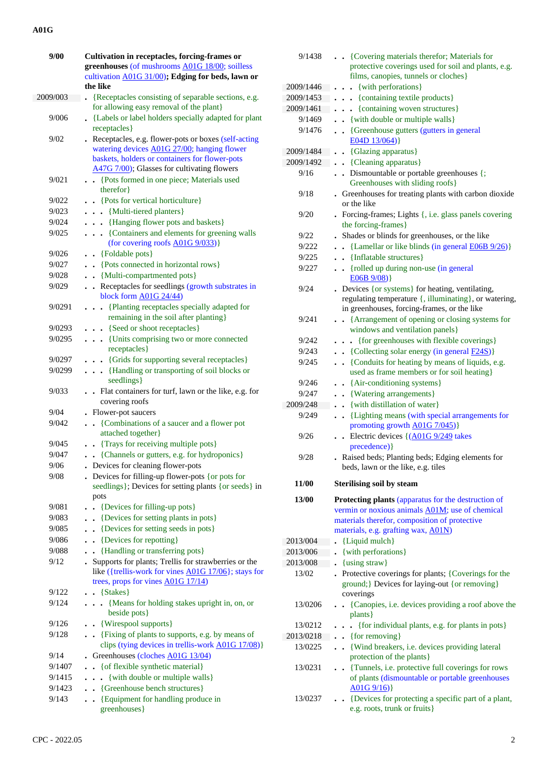| 9/00     | Cultivation in receptacles, forcing-frames or                                                                |  |
|----------|--------------------------------------------------------------------------------------------------------------|--|
|          | greenhouses (of mushrooms A01G 18/00; soilless                                                               |  |
|          | cultivation A01G 31/00); Edging for beds, lawn or                                                            |  |
|          | the like                                                                                                     |  |
| 2009/003 | {Receptacles consisting of separable sections, e.g.                                                          |  |
|          | for allowing easy removal of the plant}                                                                      |  |
| 9/006    | • {Labels or label holders specially adapted for plant                                                       |  |
|          | receptacles }                                                                                                |  |
| 9/02     | Receptacles, e.g. flower-pots or boxes (self-acting                                                          |  |
|          | watering devices A01G 27/00; hanging flower                                                                  |  |
|          | baskets, holders or containers for flower-pots                                                               |  |
|          | A47G 7/00); Glasses for cultivating flowers                                                                  |  |
| 9/021    | {Pots formed in one piece; Materials used<br>therefor }                                                      |  |
| 9/022    | . . {Pots for vertical horticulture}                                                                         |  |
| 9/023    | . . {Multi-tiered planters}                                                                                  |  |
| 9/024    | . Hanging flower pots and baskets }                                                                          |  |
| 9/025    | . {Containers and elements for greening walls                                                                |  |
|          | (for covering roofs A01G 9/033)}                                                                             |  |
| 9/026    | {Foldable pots}<br>$\ddot{\phantom{a}}$                                                                      |  |
| 9/027    | {Pots connected in horizontal rows}<br>$\ddot{\phantom{a}}$                                                  |  |
| 9/028    | {Multi-compartmented pots}<br>$\bullet$                                                                      |  |
| 9/029    | Receptacles for seedlings (growth substrates in                                                              |  |
|          | block form A01G 24/44)                                                                                       |  |
| 9/0291   | {Planting receptacles specially adapted for<br>$\ddot{\phantom{0}}$<br>$\cdot$                               |  |
|          | remaining in the soil after planting }                                                                       |  |
| 9/0293   | . . {Seed or shoot receptacles}                                                                              |  |
| 9/0295   | . {Units comprising two or more connected                                                                    |  |
|          | receptacles }                                                                                                |  |
| 9/0297   | . {Grids for supporting several receptacles}                                                                 |  |
| 9/0299   | {Handling or transporting of soil blocks or<br>$\ddot{\phantom{0}}$                                          |  |
|          | seedlings}                                                                                                   |  |
| 9/033    | . Flat containers for turf, lawn or the like, e.g. for                                                       |  |
|          | covering roofs                                                                                               |  |
| 9/04     | Flower-pot saucers                                                                                           |  |
| 9/042    | {Combinations of a saucer and a flower pot                                                                   |  |
|          | attached together}                                                                                           |  |
| 9/045    | • {Trays for receiving multiple pots}                                                                        |  |
| 9/047    | {Channels or gutters, e.g. for hydroponics}                                                                  |  |
| 9/06     | Devices for cleaning flower-pots                                                                             |  |
| 9/08     | . Devices for filling-up flower-pots { or pots for                                                           |  |
|          | seedlings}; Devices for setting plants {or seeds} in                                                         |  |
|          | pots                                                                                                         |  |
| 9/081    | {Devices for filling-up pots}<br>$\ddot{\phantom{0}}$                                                        |  |
| 9/083    | {Devices for setting plants in pots}                                                                         |  |
| 9/085    | {Devices for setting seeds in pots}<br>$\ddot{\phantom{a}}$                                                  |  |
| 9/086    | {Devices for repotting}<br>$\ddot{\phantom{0}}$                                                              |  |
| 9/088    | {Handling or transferring pots}<br>$\ddot{\phantom{0}}$                                                      |  |
| 9/12     | Supports for plants; Trellis for strawberries or the<br>like ({trellis-work for vines A01G 17/06}; stays for |  |
|          | trees, props for vines A01G 17/14)                                                                           |  |
| 9/122    | $\bullet$ {Stakes}                                                                                           |  |
| 9/124    | . {Means for holding stakes upright in, on, or                                                               |  |
|          | beside pots}                                                                                                 |  |
| 9/126    | {Wirespool supports}                                                                                         |  |
| 9/128    | {Fixing of plants to supports, e.g. by means of<br>$\sim$                                                    |  |
|          | clips (tying devices in trellis-work A01G 17/08)}                                                            |  |
| 9/14     | Greenhouses (cloches A01G 13/04)                                                                             |  |
| 9/1407   | {of flexible synthetic material}<br>$\ddot{\phantom{0}}$                                                     |  |
| 9/1415   | {with double or multiple walls}<br>$\bullet$<br>$\ddot{\phantom{0}}$                                         |  |
| 9/1423   | {Greenhouse bench structures}<br>$\bullet$                                                                   |  |
| 9/143    | {Equipment for handling produce in                                                                           |  |
|          | greenhouses }                                                                                                |  |

| 9/1438    | . . {Covering materials therefor; Materials for<br>protective coverings used for soil and plants, e.g.                                                   |
|-----------|----------------------------------------------------------------------------------------------------------------------------------------------------------|
|           | films, canopies, tunnels or cloches}                                                                                                                     |
| 2009/1446 | $\bullet$ $\bullet$ {with perforations}                                                                                                                  |
| 2009/1453 | {containing textile products}<br>$\ddot{\phantom{0}}$                                                                                                    |
| 2009/1461 | {containing woven structures}<br>$\ddot{\phantom{1}}$                                                                                                    |
| 9/1469    | . . {with double or multiple walls}                                                                                                                      |
| 9/1476    | . . {Greenhouse gutters (gutters in general<br>E04D 13/064)                                                                                              |
| 2009/1484 | {Glazing apparatus}<br>$\bullet$                                                                                                                         |
| 2009/1492 | • {Cleaning apparatus}                                                                                                                                   |
| 9/16      | . Dismountable or portable greenhouses {;<br>Greenhouses with sliding roofs}                                                                             |
| 9/18      | . Greenhouses for treating plants with carbon dioxide<br>or the like                                                                                     |
| 9/20      | Forcing-frames; Lights {, i.e. glass panels covering<br>the forcing-frames}                                                                              |
| 9/22      | . Shades or blinds for greenhouses, or the like                                                                                                          |
| 9/222     | $\bullet$ . {Lamellar or like blinds (in general $E06B9/26$ )}                                                                                           |
| 9/225     | . . {Inflatable structures}                                                                                                                              |
| 9/227     | . Trolled up during non-use (in general<br>$E06B 9/08$ }                                                                                                 |
| 9/24      | . Devices {or systems} for heating, ventilating,<br>regulating temperature {, illuminating}, or watering,<br>in greenhouses, forcing-frames, or the like |
| 9/241     | . {Arrangement of opening or closing systems for<br>windows and ventilation panels}                                                                      |
| 9/242     | . {for greenhouses with flexible coverings}                                                                                                              |
| 9/243     | $\bullet$ (Collecting solar energy (in general $\underline{F24S}$ )}                                                                                     |
| 9/245     | . {Conduits for heating by means of liquids, e.g.<br>used as frame members or for soil heating}                                                          |
| 9/246     | • · {Air-conditioning systems}                                                                                                                           |
| 9/247     | . . {Watering arrangements}                                                                                                                              |
| 2009/248  | {with distillation of water}<br>$\ddot{\phantom{0}}$                                                                                                     |
| 9/249     | {Lighting means (with special arrangements for<br>$\ddot{\phantom{0}}$<br>promoting growth A01G 7/045)}                                                  |
| 9/26      | Electric devices {(A01G 9/249 takes<br>precedence) }                                                                                                     |
| 9/28      | . Raised beds; Planting beds; Edging elements for<br>beds, lawn or the like, e.g. tiles                                                                  |
| 11/00     | <b>Sterilising soil by steam</b>                                                                                                                         |
| 13/00     | Protecting plants (apparatus for the destruction of                                                                                                      |
|           | vermin or noxious animals A01M; use of chemical<br>materials therefor, composition of protective                                                         |
|           | materials, e.g. grafting wax, A01N)                                                                                                                      |
| 2013/004  | • {Liquid mulch}                                                                                                                                         |
| 2013/006  | • {with perforations}                                                                                                                                    |
| 2013/008  | $\bullet$ {using straw}                                                                                                                                  |
| 13/02     | . Protective coverings for plants; {Coverings for the<br>ground;} Devices for laying-out {or removing}<br>coverings                                      |
| 13/0206   | . . {Canopies, i.e. devices providing a roof above the<br>plants }                                                                                       |
| 13/0212   | . { for individual plants, e.g. for plants in pots}                                                                                                      |
| 2013/0218 | $\bullet$ {for removing}                                                                                                                                 |
| 13/0225   | . . {Wind breakers, i.e. devices providing lateral<br>protection of the plants }                                                                         |
| 13/0231   | • {Tunnels, i.e. protective full coverings for rows<br>of plants (dismountable or portable greenhouses<br>A01G9/16                                       |
| 13/0237   | • {Devices for protecting a specific part of a plant,<br>e.g. roots, trunk or fruits}                                                                    |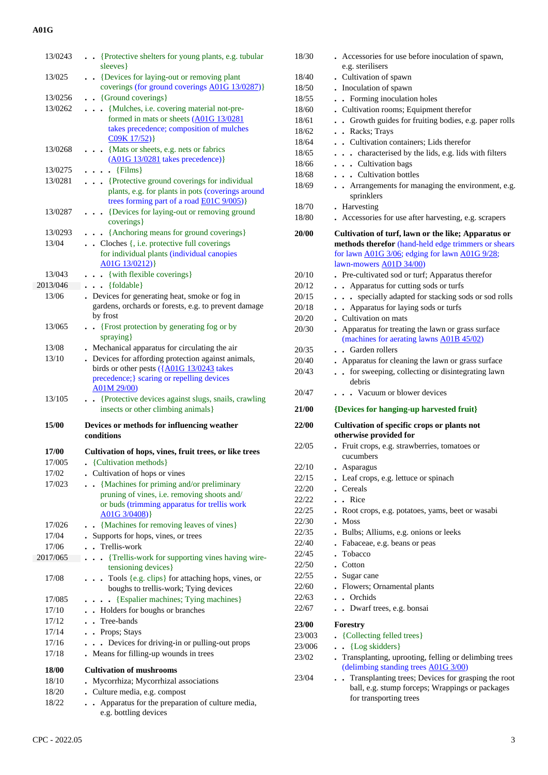| 13/0243           | • • {Protective shelters for young plants, e.g. tubular                                                            |
|-------------------|--------------------------------------------------------------------------------------------------------------------|
| 13/025            | sleeves}<br>{Devices for laying-out or removing plant<br>$\bullet$                                                 |
|                   | coverings (for ground coverings A01G 13/0287)}                                                                     |
| 13/0256           | • {Ground coverings}                                                                                               |
| 13/0262           | . Mulches, i.e. covering material not-pre-                                                                         |
|                   | formed in mats or sheets (A01G 13/0281                                                                             |
|                   | takes precedence; composition of mulches                                                                           |
|                   | C09K 17/52)}                                                                                                       |
| 13/0268           | • {Mats or sheets, e.g. nets or fabrics<br>$(A01G 13/0281$ takes precedence)}                                      |
| 13/0275           | $\bullet \bullet \{ \text{Films} \}$                                                                               |
| 13/0281           | . Protective ground coverings for individual                                                                       |
|                   | plants, e.g. for plants in pots (coverings around<br>trees forming part of a road <b>E01C</b> 9/005)}              |
| 13/0287           | {Devices for laying-out or removing ground<br>$\ddot{\phantom{0}}$<br>coverings }                                  |
| 13/0293           | . {Anchoring means for ground coverings}                                                                           |
| 13/04             | • Cloches {, i.e. protective full coverings                                                                        |
|                   | for individual plants (individual canopies                                                                         |
|                   | $A01G$ $13/0212$ }                                                                                                 |
| 13/043            | {with flexible coverings}                                                                                          |
| 2013/046          | $\bullet$ {foldable}                                                                                               |
| 13/06             | . Devices for generating heat, smoke or fog in<br>gardens, orchards or forests, e.g. to prevent damage             |
|                   | by frost                                                                                                           |
| 13/065            | {Frost protection by generating fog or by                                                                          |
|                   | spraying}                                                                                                          |
| 13/08             | . Mechanical apparatus for circulating the air                                                                     |
| 13/10             | . Devices for affording protection against animals,                                                                |
|                   | birds or other pests $(\overline{\text{A}01G} \ 13/0243 \ \text{takes})$                                           |
|                   | precedence; } scaring or repelling devices<br>A01M 29/00)                                                          |
|                   |                                                                                                                    |
|                   |                                                                                                                    |
| 13/105            | {Protective devices against slugs, snails, crawling<br>$\ddot{\phantom{a}}$<br>insects or other climbing animals } |
| 15/00             | Devices or methods for influencing weather                                                                         |
|                   | conditions                                                                                                         |
| <b>17/00</b>      | Cultivation of hops, vines, fruit trees, or like trees                                                             |
| 17/005            | {Cultivation methods}                                                                                              |
| 17/02             | • Cultivation of hops or vines                                                                                     |
| 17/023            | • {Machines for priming and/or preliminary                                                                         |
|                   | pruning of vines, i.e. removing shoots and/                                                                        |
|                   | or buds (trimming apparatus for trellis work                                                                       |
|                   | $A01G$ 3/0408)}                                                                                                    |
| 17/026            | • {Machines for removing leaves of vines}                                                                          |
| 17/04             | Supports for hops, vines, or trees                                                                                 |
| 17/06<br>2017/065 | Trellis-work                                                                                                       |
|                   | {Trellis-work for supporting vines having wire-<br>tensioning devices}                                             |
| 17/08             | Tools {e.g. clips} for attaching hops, vines, or                                                                   |
|                   | boughs to trellis-work; Tying devices                                                                              |
| 17/085            | . . {Espalier machines; Tying machines}                                                                            |
| 17/10             | . Holders for boughs or branches                                                                                   |
| 17/12             | Tree-bands<br>$\ddot{\phantom{0}}$                                                                                 |
| 17/14             | . Props; Stays                                                                                                     |
| 17/16             | • Devices for driving-in or pulling-out props                                                                      |
| 17/18             | Means for filling-up wounds in trees                                                                               |
| 18/00             | <b>Cultivation of mushrooms</b>                                                                                    |
| 18/10             | Mycorrhiza; Mycorrhizal associations                                                                               |
| 18/20             | Culture media, e.g. compost                                                                                        |
| 18/22             | Apparatus for the preparation of culture media,<br>$\bullet$<br>e.g. bottling devices                              |

| 18/30  | Accessories for use before inoculation of spawn,                                                                                                                                                |
|--------|-------------------------------------------------------------------------------------------------------------------------------------------------------------------------------------------------|
|        | e.g. sterilisers                                                                                                                                                                                |
| 18/40  | . Cultivation of spawn                                                                                                                                                                          |
| 18/50  | . Inoculation of spawn                                                                                                                                                                          |
| 18/55  | . Forming inoculation holes                                                                                                                                                                     |
| 18/60  | . Cultivation rooms; Equipment therefor                                                                                                                                                         |
| 18/61  | . Growth guides for fruiting bodies, e.g. paper rolls                                                                                                                                           |
| 18/62  | . Racks; Trays                                                                                                                                                                                  |
| 18/64  | • Cultivation containers: Lids therefor                                                                                                                                                         |
| 18/65  | . characterised by the lids, e.g. lids with filters                                                                                                                                             |
| 18/66  | . Cultivation bags                                                                                                                                                                              |
| 18/68  | . Cultivation bottles                                                                                                                                                                           |
| 18/69  | . Arrangements for managing the environment, e.g.<br>sprinklers                                                                                                                                 |
| 18/70  | . Harvesting                                                                                                                                                                                    |
| 18/80  | Accessories for use after harvesting, e.g. scrapers                                                                                                                                             |
| 20/00  | Cultivation of turf, lawn or the like; Apparatus or<br>methods therefor (hand-held edge trimmers or shears<br>for lawn A01G 3/06; edging for lawn A01G 9/28;<br>lawn-mowers <b>A01D 34/00</b> ) |
| 20/10  | . Pre-cultivated sod or turf; Apparatus therefor                                                                                                                                                |
| 20/12  | Apparatus for cutting sods or turfs                                                                                                                                                             |
| 20/15  | specially adapted for stacking sods or sod rolls<br>$\ddot{\phantom{0}}$                                                                                                                        |
| 20/18  | • Apparatus for laying sods or turfs                                                                                                                                                            |
| 20/20  | • Cultivation on mats                                                                                                                                                                           |
| 20/30  | Apparatus for treating the lawn or grass surface                                                                                                                                                |
|        | (machines for aerating lawns A01B 45/02)                                                                                                                                                        |
| 20/35  | Garden rollers<br>$\ddot{\phantom{a}}$                                                                                                                                                          |
| 20/40  | . Apparatus for cleaning the lawn or grass surface                                                                                                                                              |
| 20/43  | for sweeping, collecting or disintegrating lawn<br>$\bullet$<br>debris                                                                                                                          |
| 20/47  | • Vacuum or blower devices                                                                                                                                                                      |
| 21/00  | {Devices for hanging-up harvested fruit}                                                                                                                                                        |
| 22/00  | Cultivation of specific crops or plants not<br>otherwise provided for                                                                                                                           |
| 22/05  | Fruit crops, e.g. strawberries, tomatoes or                                                                                                                                                     |
|        | cucumbers                                                                                                                                                                                       |
| 22/10  | Asparagus                                                                                                                                                                                       |
| 22/15  | Leaf crops, e.g. lettuce or spinach<br>$\bullet$                                                                                                                                                |
| 22/20  | . Cereals                                                                                                                                                                                       |
| 22/22  | . Rice<br>$\bullet$                                                                                                                                                                             |
| 22/25  | Root crops, e.g. potatoes, yams, beet or wasabi<br>$\bullet$                                                                                                                                    |
| 22/30  | <b>Moss</b><br>$\bullet$                                                                                                                                                                        |
| 22/35  | Bulbs; Alliums, e.g. onions or leeks                                                                                                                                                            |
| 22/40  | • Fabaceae, e.g. beans or peas                                                                                                                                                                  |
| 22/45  | Tobacco                                                                                                                                                                                         |
| 22/50  | . Cotton                                                                                                                                                                                        |
| 22/55  | . Sugar cane                                                                                                                                                                                    |
| 22/60  | . Flowers; Ornamental plants                                                                                                                                                                    |
| 22/63  | . Orchids                                                                                                                                                                                       |
| 22/67  | . Dwarf trees, e.g. bonsai                                                                                                                                                                      |
| 23/00  | Forestry                                                                                                                                                                                        |
|        |                                                                                                                                                                                                 |
| 23/003 | • {Collecting felled trees}                                                                                                                                                                     |
| 23/006 | • {Log skidders}                                                                                                                                                                                |
| 23/02  | Transplanting, uprooting, felling or delimbing trees<br>(delimbing standing trees A01G 3/00)                                                                                                    |
| 23/04  | Transplanting trees; Devices for grasping the root<br>$\ddot{\phantom{a}}$<br>ball, e.g. stump forceps; Wrappings or packages<br>for transporting trees                                         |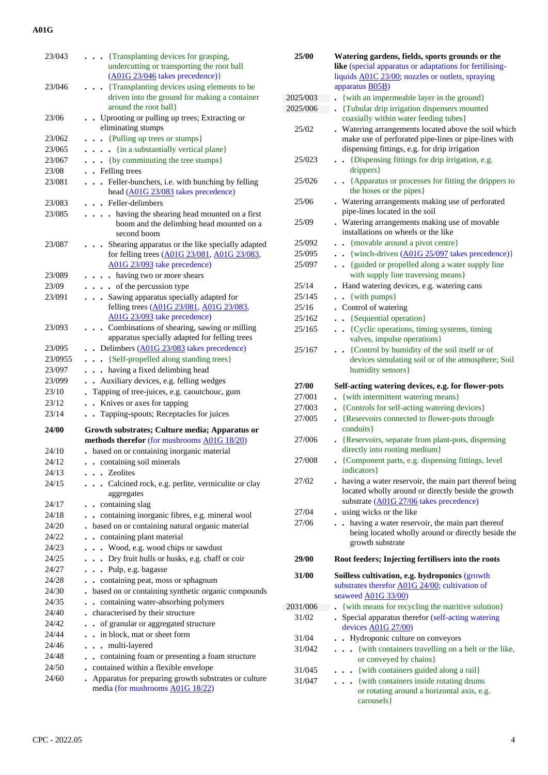| 23/043  | . Transplanting devices for grasping,                                |
|---------|----------------------------------------------------------------------|
|         | undercutting or transporting the root ball                           |
|         | $(A01G 23/046$ takes precedence)}                                    |
| 23/046  | {Transplanting devices using elements to be                          |
|         | driven into the ground for making a container                        |
|         | around the root ball }                                               |
| 23/06   | Uprooting or pulling up trees; Extracting or                         |
|         | eliminating stumps                                                   |
| 23/062  | {Pulling up trees or stumps}                                         |
| 23/065  | {in a substantially vertical plane}                                  |
| 23/067  | {by comminuting the tree stumps}                                     |
| 23/08   | . Felling trees                                                      |
| 23/081  | Feller-bunchers, i.e. with bunching by felling<br>.                  |
|         | head (A01G 23/083 takes precedence)                                  |
| 23/083  | . Feller-delimbers                                                   |
| 23/085  | . . having the shearing head mounted on a first                      |
|         | boom and the delimbing head mounted on a                             |
|         | second boom                                                          |
| 23/087  | Shearing apparatus or the like specially adapted                     |
|         | for felling trees (A01G 23/081, A01G 23/083,                         |
|         | A01G 23/093 take precedence)                                         |
| 23/089  | having two or more shears                                            |
| 23/09   | $\cdots$ of the percussion type                                      |
| 23/091  | . Sawing apparatus specially adapted for                             |
|         | felling trees (A01G 23/081, A01G 23/083,                             |
|         | A01G 23/093 take precedence)                                         |
| 23/093  | . Combinations of shearing, sawing or milling                        |
|         | apparatus specially adapted for felling trees                        |
| 23/095  | . . Delimbers (A01G 23/083 takes precedence)                         |
| 23/0955 | . {Self-propelled along standing trees}                              |
| 23/097  | . . having a fixed delimbing head                                    |
| 23/099  | Auxiliary devices, e.g. felling wedges<br>$\ddot{\phantom{a}}$       |
| 23/10   | Tapping of tree-juices, e.g. caoutchouc, gum<br>$\ddot{\phantom{a}}$ |
| 23/12   | Knives or axes for tapping<br>$\ddot{\phantom{a}}$                   |
| 23/14   | . Tapping-spouts; Receptacles for juices                             |
|         |                                                                      |
| 24/00   | Growth substrates; Culture media; Apparatus or                       |
|         |                                                                      |
|         | methods therefor (for mushrooms A01G 18/20)                          |
| 24/10   | . based on or containing inorganic material                          |
| 24/12   | . containing soil minerals                                           |
| 24/13   | . Zeolites                                                           |
| 24/15   | . Calcined rock, e.g. perlite, vermiculite or clay                   |
|         | aggregates                                                           |
| 24/17   | containing slag<br>$\ddot{\phantom{1}}$                              |
| 24/18   | containing inorganic fibres, e.g. mineral wool                       |
| 24/20   | based on or containing natural organic material                      |
| 24/22   | . . containing plant material                                        |
| 24/23   | . Wood, e.g. wood chips or sawdust                                   |
| 24/25   | Dry fruit hulls or husks, e.g. chaff or coir                         |
| 24/27   | . . Pulp, e.g. bagasse                                               |
| 24/28   | containing peat, moss or sphagnum                                    |
| 24/30   | - based on or containing synthetic organic compounds                 |
| 24/35   | containing water-absorbing polymers<br>$\ddot{\phantom{a}}$          |
| 24/40   | . characterised by their structure                                   |
| 24/42   | of granular or aggregated structure<br>$\ddot{\phantom{0}}$          |
| 24/44   | in block, mat or sheet form                                          |
| 24/46   | . . multi-layered                                                    |
| 24/48   | . containing foam or presenting a foam structure                     |
| 24/50   | . contained within a flexible envelope                               |
| 24/60   | . Apparatus for preparing growth substrates or culture               |
|         | media (for mushrooms A01G 18/22)                                     |

| 25/00    | Watering gardens, fields, sports grounds or the<br>like (special apparatus or adaptations for fertilising-                                                  |  |  |  |
|----------|-------------------------------------------------------------------------------------------------------------------------------------------------------------|--|--|--|
|          | liquids A01C 23/00; nozzles or outlets, spraying                                                                                                            |  |  |  |
|          | apparatus <b>B05B</b> )                                                                                                                                     |  |  |  |
| 2025/003 | {with an impermeable layer in the ground}                                                                                                                   |  |  |  |
| 2025/006 | {Tubular drip irrigation dispensers mounted<br>coaxially within water feeding tubes}                                                                        |  |  |  |
| 25/02    | Watering arrangements located above the soil which<br>make use of perforated pipe-lines or pipe-lines with<br>dispensing fittings, e.g. for drip irrigation |  |  |  |
| 25/023   | {Dispensing fittings for drip irrigation, e.g.<br>drippers}                                                                                                 |  |  |  |
| 25/026   | • • {Apparatus or processes for fitting the drippers to<br>the hoses or the pipes}                                                                          |  |  |  |
| 25/06    | . Watering arrangements making use of perforated<br>pipe-lines located in the soil                                                                          |  |  |  |
| 25/09    | . Watering arrangements making use of movable<br>installations on wheels or the like                                                                        |  |  |  |
| 25/092   | . {movable around a pivot centre}                                                                                                                           |  |  |  |
| 25/095   | $\bullet \bullet \{\text{winch-driven } (\underline{A01G} \ 25/097 \} \ \text{takes } \text{precedence})\}$                                                 |  |  |  |
| 25/097   | {guided or propelled along a water supply line<br>$\ddot{\phantom{0}}$<br>with supply line traversing means}                                                |  |  |  |
| 25/14    | Hand watering devices, e.g. watering cans                                                                                                                   |  |  |  |
| 25/145   | {with pumps}<br>$\ddot{\phantom{0}}$                                                                                                                        |  |  |  |
| 25/16    | . Control of watering                                                                                                                                       |  |  |  |
| 25/162   | {Sequential operation}<br>$\ddot{\phantom{0}}$                                                                                                              |  |  |  |
| 25/165   | {Cyclic operations, timing systems, timing<br>$\ddot{\phantom{0}}$<br>valves, impulse operations}                                                           |  |  |  |
| 25/167   | {Control by humidity of the soil itself or of<br>devices simulating soil or of the atmosphere; Soil<br>humidity sensors}                                    |  |  |  |
| 27/00    | Self-acting watering devices, e.g. for flower-pots                                                                                                          |  |  |  |
| 27/001   | {with intermittent watering means}                                                                                                                          |  |  |  |
| 27/003   | • {Controls for self-acting watering devices}                                                                                                               |  |  |  |
| 27/005   | {Reservoirs connected to flower-pots through<br>$\ddot{\phantom{0}}$<br>conduits }                                                                          |  |  |  |
| 27/006   | • {Reservoirs, separate from plant-pots, dispensing<br>directly into rooting medium}                                                                        |  |  |  |
| 27/008   | {Component parts, e.g. dispensing fittings, level<br>indicators }                                                                                           |  |  |  |
| 27/02    | . having a water reservoir, the main part thereof being<br>located wholly around or directly beside the growth<br>substrate (A01G 27/06 takes precedence)   |  |  |  |
| 27/04    | using wicks or the like                                                                                                                                     |  |  |  |
| 27/06    | having a water reservoir, the main part thereof<br>being located wholly around or directly beside the<br>growth substrate                                   |  |  |  |
| 29/00    | Root feeders; Injecting fertilisers into the roots                                                                                                          |  |  |  |
| 31/00    | Soilless cultivation, e.g. hydroponics (growth<br>substrates therefor A01G 24/00; cultivation of<br>seaweed A01G 33/00)                                     |  |  |  |
| 2031/006 | {with means for recycling the nutritive solution}                                                                                                           |  |  |  |
| 31/02    | . Special apparatus therefor (self-acting watering<br>devices A01G 27/00)                                                                                   |  |  |  |
| 31/04    | Hydroponic culture on conveyors                                                                                                                             |  |  |  |
| 31/042   | {with containers travelling on a belt or the like,<br>$\ddot{\phantom{0}}$<br>or conveyed by chains}                                                        |  |  |  |
| 31/045   | {with containers guided along a rail}                                                                                                                       |  |  |  |
| 31/047   | {with containers inside rotating drums<br>or rotating around a horizontal axis, e.g.<br>carousels }                                                         |  |  |  |